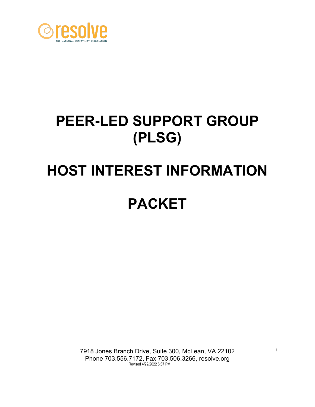

# **PEER-LED SUPPORT GROUP (PLSG)**

# **HOST INTEREST INFORMATION PACKET**

7918 Jones Branch Drive, Suite 300, McLean, VA 22102 Phone 703.556.7172, Fax 703.506.3266, resolve.orgRevised 4/22/2022 6:37 PM

1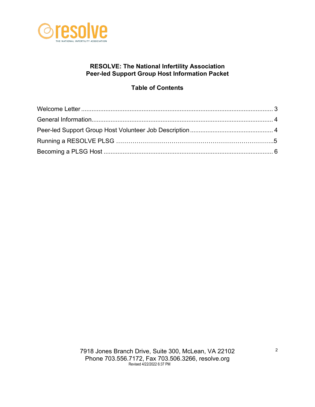

#### **RESOLVE: The National Infertility Association Peer-led Support Group Host Information Packet**

## **Table of Contents**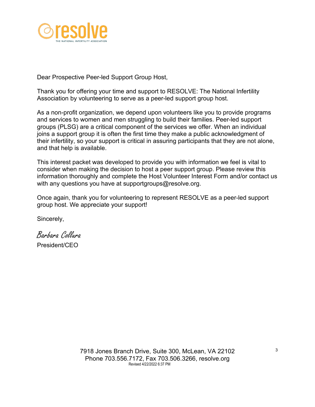

Dear Prospective Peer-led Support Group Host,

Thank you for offering your time and support to RESOLVE: The National Infertility Association by volunteering to serve as a peer-led support group host.

As a non-profit organization, we depend upon volunteers like you to provide programs and services to women and men struggling to build their families. Peer-led support groups (PLSG) are a critical component of the services we offer. When an individual joins a support group it is often the first time they make a public acknowledgment of their infertility, so your support is critical in assuring participants that they are not alone, and that help is available.

This interest packet was developed to provide you with information we feel is vital to consider when making the decision to host a peer support group. Please review this information thoroughly and complete the Host Volunteer Interest Form and/or contact us with any questions you have at supportgroups@resolve.org.

Once again, thank you for volunteering to represent RESOLVE as a peer-led support group host. We appreciate your support!

Sincerely,

Barbara Collura President/CEO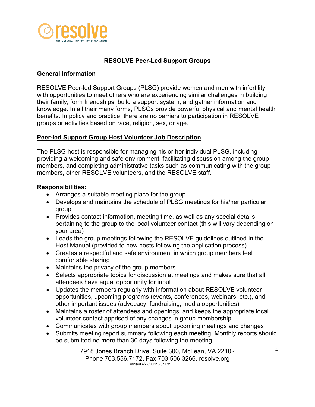

#### **RESOLVE Peer-Led Support Groups**

#### **General Information**

RESOLVE Peer-led Support Groups (PLSG) provide women and men with infertility with opportunities to meet others who are experiencing similar challenges in building their family, form friendships, build a support system, and gather information and knowledge. In all their many forms, PLSGs provide powerful physical and mental health benefits. In policy and practice, there are no barriers to participation in RESOLVE groups or activities based on race, religion, sex, or age.

#### **Peer-led Support Group Host Volunteer Job Description**

The PLSG host is responsible for managing his or her individual PLSG, including providing a welcoming and safe environment, facilitating discussion among the group members, and completing administrative tasks such as communicating with the group members, other RESOLVE volunteers, and the RESOLVE staff.

#### **Responsibilities:**

- Arranges a suitable meeting place for the group
- Develops and maintains the schedule of PLSG meetings for his/her particular group
- Provides contact information, meeting time, as well as any special details pertaining to the group to the local volunteer contact (this will vary depending on your area)
- Leads the group meetings following the RESOLVE guidelines outlined in the Host Manual (provided to new hosts following the application process)
- Creates a respectful and safe environment in which group members feel comfortable sharing
- Maintains the privacy of the group members
- Selects appropriate topics for discussion at meetings and makes sure that all attendees have equal opportunity for input
- Updates the members regularly with information about RESOLVE volunteer opportunities, upcoming programs (events, conferences, webinars, etc.), and other important issues (advocacy, fundraising, media opportunities)
- Maintains a roster of attendees and openings, and keeps the appropriate local volunteer contact apprised of any changes in group membership
- Communicates with group members about upcoming meetings and changes
- Submits meeting report summary following each meeting. Monthly reports should be submitted no more than 30 days following the meeting

7918 Jones Branch Drive, Suite 300, McLean, VA 22102 Phone 703.556.7172, Fax 703.506.3266, resolve.orgRevised 4/22/2022 6:37 PM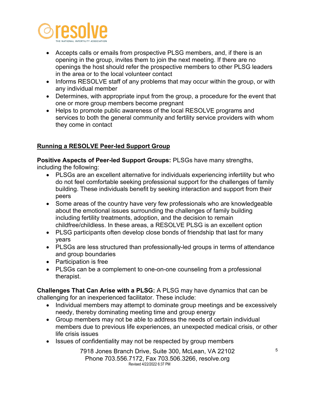

- Accepts calls or emails from prospective PLSG members, and, if there is an opening in the group, invites them to join the next meeting. If there are no openings the host should refer the prospective members to other PLSG leaders in the area or to the local volunteer contact
- Informs RESOLVE staff of any problems that may occur within the group, or with any individual member
- Determines, with appropriate input from the group, a procedure for the event that one or more group members become pregnant
- Helps to promote public awareness of the local RESOLVE programs and services to both the general community and fertility service providers with whom they come in contact

### **Running a RESOLVE Peer-led Support Group**

**Positive Aspects of Peer-led Support Groups:** PLSGs have many strengths,

including the following:

- PLSGs are an excellent alternative for individuals experiencing infertility but who do not feel comfortable seeking professional support for the challenges of family building. These individuals benefit by seeking interaction and support from their peers
- Some areas of the country have very few professionals who are knowledgeable about the emotional issues surrounding the challenges of family building including fertility treatments, adoption, and the decision to remain childfree/childless. In these areas, a RESOLVE PLSG is an excellent option
- PLSG participants often develop close bonds of friendship that last for many years
- PLSGs are less structured than professionally-led groups in terms of attendance and group boundaries
- Participation is free
- PLSGs can be a complement to one-on-one counseling from a professional therapist.

**Challenges That Can Arise with a PLSG:** A PLSG may have dynamics that can be challenging for an inexperienced facilitator. These include:

- Individual members may attempt to dominate group meetings and be excessively needy, thereby dominating meeting time and group energy
- Group members may not be able to address the needs of certain individual members due to previous life experiences, an unexpected medical crisis, or other life crisis issues
- Issues of confidentiality may not be respected by group members

7918 Jones Branch Drive, Suite 300, McLean, VA 22102 Phone 703.556.7172, Fax 703.506.3266, resolve.orgRevised 4/22/2022 6:37 PM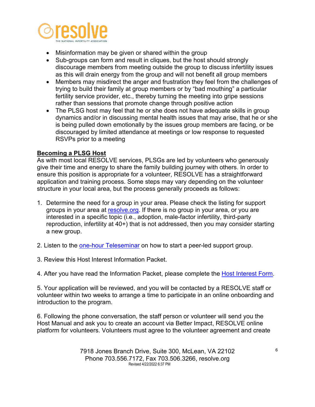

- Misinformation may be given or shared within the group
- Sub-groups can form and result in cliques, but the host should strongly discourage members from meeting outside the group to discuss infertility issues as this will drain energy from the group and will not benefit all group members
- Members may misdirect the anger and frustration they feel from the challenges of trying to build their family at group members or by "bad mouthing" a particular fertility service provider, etc., thereby turning the meeting into gripe sessions rather than sessions that promote change through positive action
- The PLSG host may feel that he or she does not have adequate skills in group dynamics and/or in discussing mental health issues that may arise, that he or she is being pulled down emotionally by the issues group members are facing, or be discouraged by limited attendance at meetings or low response to requested RSVPs prior to a meeting

#### **Becoming a PLSG Host**

As with most local RESOLVE services, PLSGs are led by volunteers who generously give their time and energy to share the family building journey with others. In order to ensure this position is appropriate for a volunteer, RESOLVE has a straightforward application and training process. Some steps may vary depending on the volunteer structure in your local area, but the process generally proceeds as follows:

- 1. Determine the need for a group in your area. Please check the listing for support groups in your area at [resolve.org.](https://resolve.org/get-help/find-a-support-group/) If there is no group in your area, or you are interested in a specific topic (i.e., adoption, male-factor infertility, third-party reproduction, infertility at 40+) that is not addressed, then you may consider starting a new group.
- 2. Listen to the [one-hour Teleseminar](https://resolve.org/get-help/find-a-support-group/how-to-start-a-support-group/) on how to start a peer-led support group.
- 3. Review this Host Interest Information Packet.

4. After you have read the Information Packet, please complete the **Host Interest Form.** 

5. Your application will be reviewed, and you will be contacted by a RESOLVE staff or volunteer within two weeks to arrange a time to participate in an online onboarding and introduction to the program.

6. Following the phone conversation, the staff person or volunteer will send you the Host Manual and ask you to create an account via Better Impact, RESOLVE online platform for volunteers. Volunteers must agree to the volunteer agreement and create